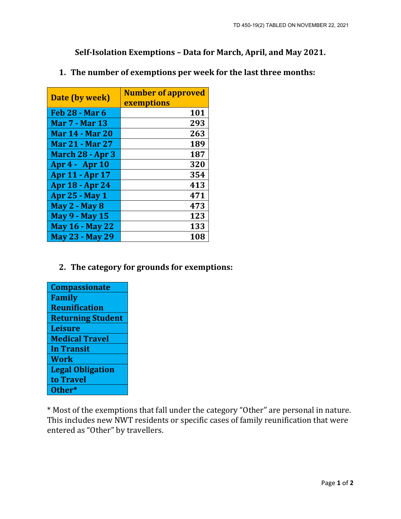**Self-Isolation Exemptions – Data for March, April, and May 2021.**

| Date (by week)         | <b>Number of approved</b><br><b>exemptions</b> |
|------------------------|------------------------------------------------|
| <b>Feb 28 - Mar 6</b>  | 101                                            |
| <b>Mar 7 - Mar 13</b>  | 293                                            |
| <b>Mar 14 - Mar 20</b> | 263                                            |
| <b>Mar 21 - Mar 27</b> | 189                                            |
| March 28 - Apr 3       | 187                                            |
| Apr 4 - Apr 10         | 320                                            |
| <b>Apr 11 - Apr 17</b> | 354                                            |
| <b>Apr 18 - Apr 24</b> | 413                                            |
| <b>Apr 25 - May 1</b>  | 471                                            |
| <b>May 2 - May 8</b>   | 473                                            |
| <b>May 9 - May 15</b>  | 123                                            |
| <b>May 16 - May 22</b> | 133                                            |
| <b>May 23 - May 29</b> | 108                                            |

## **1. The number of exemptions per week for the last three months:**

## **2. The category for grounds for exemptions:**

| <b>Compassionate</b>     |
|--------------------------|
| Family                   |
| <b>Reunification</b>     |
| <b>Returning Student</b> |
| <b>Leisure</b>           |
| <b>Medical Travel</b>    |
| <b>In Transit</b>        |
| <b>Work</b>              |
| <b>Legal Obligation</b>  |
| to Travel                |
| Other*                   |

\* Most of the exemptions that fall under the category "Other" are personal in nature. This includes new NWT residents or specific cases of family reunification that were entered as "Other" by travellers.